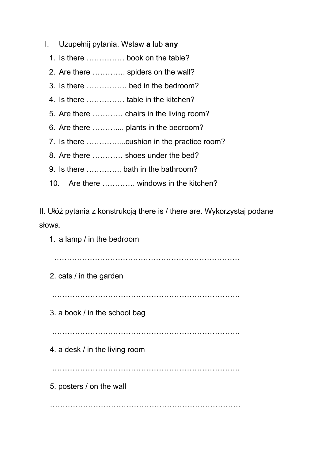- I. Uzupełnij pytania. Wstaw **a**lub **any**
	- 1. Is there …………… book on the table?
	- 2. Are there …………. spiders on the wall?
	- 3. Is there ……………. bed in the bedroom?
	- 4. Is there …………… table in the kitchen?
	- 5. Are there ………… chairs in the living room?
	- 6. Are there ……….... plants in the bedroom?
	- 7. Is there …………....cushion in the practice room?
	- 8. Are there ………… shoes under the bed?
	- 9. Is there ………….. bath in the bathroom?
	- 10. Are there …………. windows in the kitchen?

II. Ułóż pytania z konstrukcją there is / there are. Wykorzystaj podane słowa.

1. a lamp / in the bedroom

……………………………………………………………….

2. cats / in the garden

………………………………………………………………..

3. a book / in the school bag

……………………………………………………………………………

4. a desk / in the living room

………………………………………………………………..

5. posters / on the wall

…………………………………………………………………